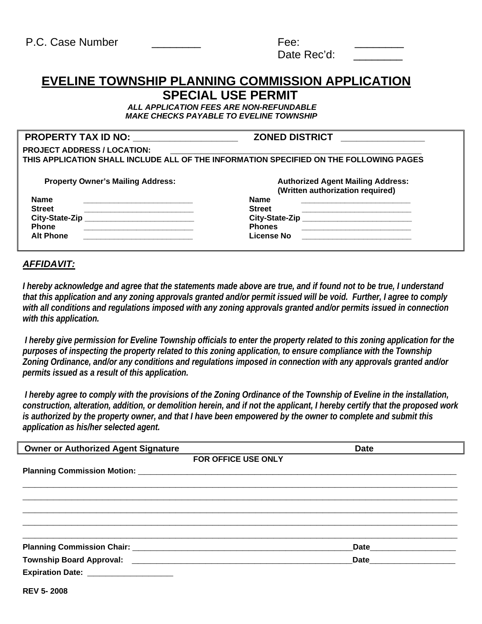| P.C. Case Number | Fee:        |  |
|------------------|-------------|--|
|                  | Date Rec'd: |  |

# **EVELINE TOWNSHIP PLANNING COMMISSION APPLICATION SPECIAL USE PERMIT**

 *ALL APPLICATION FEES ARE NON-REFUNDABLE MAKE CHECKS PAYABLE TO EVELINE TOWNSHIP* 

## **PROPERTY TAX ID NO: \_\_\_\_\_\_\_\_\_\_\_\_\_\_\_\_\_\_\_\_ ZONED DISTRICT \_\_\_\_\_\_\_\_\_\_\_\_\_\_\_\_**

| <b>PROJECT ADDRESS / LOCATION:</b><br>THIS APPLICATION SHALL INCLUDE ALL OF THE INFORMATION SPECIFIED ON THE FOLLOWING PAGES |                                                                              |  |  |
|------------------------------------------------------------------------------------------------------------------------------|------------------------------------------------------------------------------|--|--|
| <b>Property Owner's Mailing Address:</b>                                                                                     | <b>Authorized Agent Mailing Address:</b><br>(Written authorization required) |  |  |
| <b>Name</b>                                                                                                                  | Name                                                                         |  |  |

| 1141116          | 1141116        |
|------------------|----------------|
| <b>Street</b>    | <b>Street</b>  |
| City-State-Zip   | City-State-Zip |
| <b>Phone</b>     | <b>Phones</b>  |
| <b>Alt Phone</b> | License No     |
|                  |                |

# **City-State-Zip \_\_\_\_\_\_\_\_\_\_\_\_\_\_\_\_\_\_\_\_\_\_\_\_\_ City-State-Zip \_\_\_\_\_\_\_\_\_\_\_\_\_\_\_\_\_\_\_\_\_\_\_\_\_**

# *AFFIDAVIT:*

*I hereby acknowledge and agree that the statements made above are true, and if found not to be true, I understand that this application and any zoning approvals granted and/or permit issued will be void. Further, I agree to comply with all conditions and regulations imposed with any zoning approvals granted and/or permits issued in connection with this application.* 

 *I hereby give permission for Eveline Township officials to enter the property related to this zoning application for the purposes of inspecting the property related to this zoning application, to ensure compliance with the Township Zoning Ordinance, and/or any conditions and regulations imposed in connection with any approvals granted and/or permits issued as a result of this application.* 

 *I hereby agree to comply with the provisions of the Zoning Ordinance of the Township of Eveline in the installation, construction, alteration, addition, or demolition herein, and if not the applicant, I hereby certify that the proposed work is authorized by the property owner, and that I have been empowered by the owner to complete and submit this application as his/her selected agent.* 

| <b>Owner or Authorized Agent Signature</b> | <b>Date</b>              |
|--------------------------------------------|--------------------------|
| FOR OFFICE USE ONLY                        |                          |
|                                            |                          |
|                                            |                          |
|                                            |                          |
|                                            |                          |
|                                            |                          |
|                                            |                          |
|                                            | Date____________________ |
|                                            | <b>Date Date</b>         |
| Expiration Date: ___________________       |                          |
| <b>RFV 5-2008</b>                          |                          |